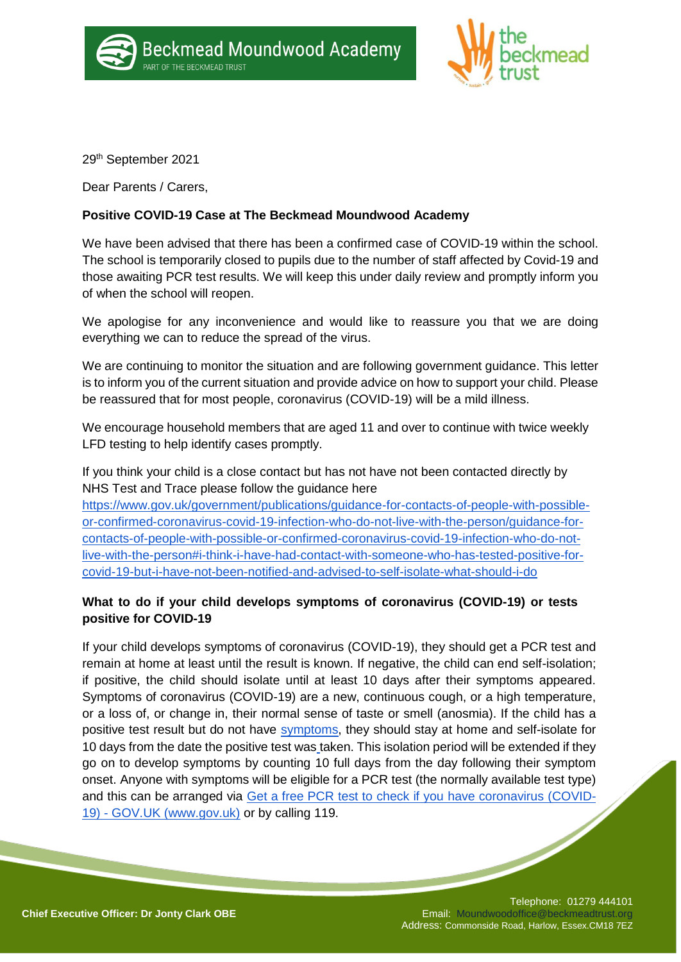



29th September 2021

Dear Parents / Carers,

## **Positive COVID-19 Case at The Beckmead Moundwood Academy**

We have been advised that there has been a confirmed case of COVID-19 within the school. The school is temporarily closed to pupils due to the number of staff affected by Covid-19 and those awaiting PCR test results. We will keep this under daily review and promptly inform you of when the school will reopen.

We apologise for any inconvenience and would like to reassure you that we are doing everything we can to reduce the spread of the virus.

We are continuing to monitor the situation and are following government guidance. This letter is to inform you of the current situation and provide advice on how to support your child. Please be reassured that for most people, coronavirus (COVID-19) will be a mild illness.

We encourage household members that are aged 11 and over to continue with twice weekly LFD testing to help identify cases promptly.

If you think your child is a close contact but has not have not been contacted directly by NHS Test and Trace please follow the guidance here

[https://www.gov.uk/government/publications/guidance-for-contacts-of-people-with-possible](https://www.gov.uk/government/publications/guidance-for-contacts-of-people-with-possible-or-confirmed-coronavirus-covid-19-infection-who-do-not-live-with-the-person/guidance-for-contacts-of-people-with-possible-or-confirmed-coronavirus-covid-19-infection-who-do-not-live-with-the-person#i-think-i-have-had-contact-with-someone-who-has-tested-positive-for-covid-19-but-i-have-not-been-notified-and-advised-to-self-isolate-what-should-i-do)[or-confirmed-coronavirus-covid-19-infection-who-do-not-live-with-the-person/guidance-for](https://www.gov.uk/government/publications/guidance-for-contacts-of-people-with-possible-or-confirmed-coronavirus-covid-19-infection-who-do-not-live-with-the-person/guidance-for-contacts-of-people-with-possible-or-confirmed-coronavirus-covid-19-infection-who-do-not-live-with-the-person#i-think-i-have-had-contact-with-someone-who-has-tested-positive-for-covid-19-but-i-have-not-been-notified-and-advised-to-self-isolate-what-should-i-do)[contacts-of-people-with-possible-or-confirmed-coronavirus-covid-19-infection-who-do-not](https://www.gov.uk/government/publications/guidance-for-contacts-of-people-with-possible-or-confirmed-coronavirus-covid-19-infection-who-do-not-live-with-the-person/guidance-for-contacts-of-people-with-possible-or-confirmed-coronavirus-covid-19-infection-who-do-not-live-with-the-person#i-think-i-have-had-contact-with-someone-who-has-tested-positive-for-covid-19-but-i-have-not-been-notified-and-advised-to-self-isolate-what-should-i-do)[live-with-the-person#i-think-i-have-had-contact-with-someone-who-has-tested-positive-for](https://www.gov.uk/government/publications/guidance-for-contacts-of-people-with-possible-or-confirmed-coronavirus-covid-19-infection-who-do-not-live-with-the-person/guidance-for-contacts-of-people-with-possible-or-confirmed-coronavirus-covid-19-infection-who-do-not-live-with-the-person#i-think-i-have-had-contact-with-someone-who-has-tested-positive-for-covid-19-but-i-have-not-been-notified-and-advised-to-self-isolate-what-should-i-do)[covid-19-but-i-have-not-been-notified-and-advised-to-self-isolate-what-should-i-do](https://www.gov.uk/government/publications/guidance-for-contacts-of-people-with-possible-or-confirmed-coronavirus-covid-19-infection-who-do-not-live-with-the-person/guidance-for-contacts-of-people-with-possible-or-confirmed-coronavirus-covid-19-infection-who-do-not-live-with-the-person#i-think-i-have-had-contact-with-someone-who-has-tested-positive-for-covid-19-but-i-have-not-been-notified-and-advised-to-self-isolate-what-should-i-do)

## **What to do if your child develops symptoms of coronavirus (COVID-19) or tests positive for COVID-19**

If your child develops symptoms of coronavirus (COVID-19), they should get a PCR test and remain at home at least until the result is known. If negative, the child can end self-isolation; if positive, the child should isolate until at least 10 days after their symptoms appeared. Symptoms of coronavirus (COVID-19) are a new, continuous cough, or a high temperature, or a loss of, or change in, their normal sense of taste or smell (anosmia). If the child has a positive test result but do not have [symptoms,](https://www.gov.uk/government/publications/covid-19-stay-at-home-guidance/stay-at-home-guidance-for-households-with-possible-coronavirus-covid-19-infection#symptoms) they should stay at home and self-isolate for 10 days from the date the positive test was taken. This isolation period will be extended if they go on to develop symptoms by counting 10 full days from the day following their symptom onset. Anyone with symptoms will be eligible for a PCR test (the normally available test type) and this can be arranged via [Get a free PCR test to check if you](https://www.gov.uk/get-coronavirus-test) [have coronavirus \(COVID-](https://www.gov.uk/get-coronavirus-test)19) - [GOV.UK \(www.gov.uk\)](https://www.gov.uk/get-coronavirus-test) or by calling 119.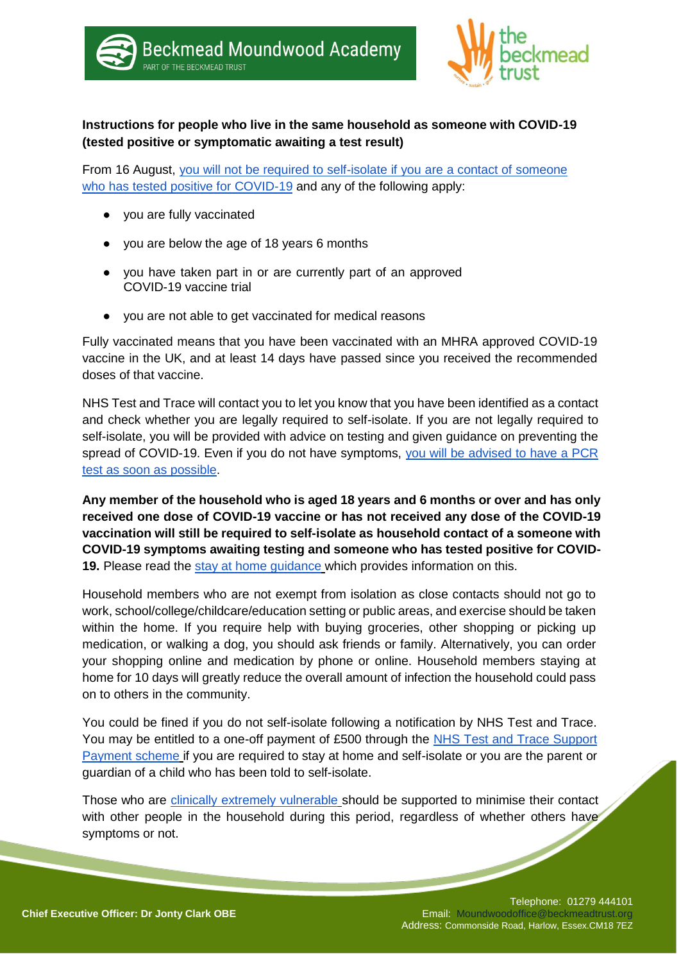

# **Instructions for people who live in the same household as someone with COVID-19 (tested positive or symptomatic awaiting a test result)**

From 16 August, [you will not be required to self-isolate if you are a contact of someone](https://www.gov.uk/government/publications/covid-19-stay-at-home-guidance/stay-at-home-guidance-for-households-with-possible-coronavirus-covid-19-infection#exempt)  [who has](https://www.gov.uk/government/publications/covid-19-stay-at-home-guidance/stay-at-home-guidance-for-households-with-possible-coronavirus-covid-19-infection#exempt) [tested positive for COVID-19](https://www.gov.uk/government/publications/covid-19-stay-at-home-guidance/stay-at-home-guidance-for-households-with-possible-coronavirus-covid-19-infection#exempt) and any of the following apply:

- you are fully vaccinated
- you are below the age of 18 years 6 months
- you have taken part in or are currently part of an approved COVID-19 vaccine trial
- you are not able to get vaccinated for medical reasons

Fully vaccinated means that you have been vaccinated with an MHRA approved COVID-19 vaccine in the UK, and at least 14 days have passed since you received the recommended doses of that vaccine.

NHS Test and Trace will contact you to let you know that you have been identified as a contact and check whether you are legally required to self-isolate. If you are not legally required to self-isolate, you will be provided with advice on testing and given guidance on preventing the spread of COVID-19. Even if you do not have symptoms, you will be advised to have a PCR [test as soon as possible.](https://www.gov.uk/government/publications/covid-19-stay-at-home-guidance/stay-at-home-guidance-for-households-with-possible-coronavirus-covid-19-infection#PCR)

**Any member of the household who is aged 18 years and 6 months or over and has only received one dose of COVID-19 vaccine or has not received any dose of the COVID-19 vaccination will still be required to self-isolate as household contact of a someone with COVID-19 symptoms awaiting testing and someone who has tested positive for COVID-19.** Please read the [stay at home guidance](https://www.gov.uk/government/publications/covid-19-stay-at-home-guidance) which provides information on this.

Household members who are not exempt from isolation as close contacts should not go to work, school/college/childcare/education setting or public areas, and exercise should be taken within the home. If you require help with buying groceries, other shopping or picking up medication, or walking a dog, you should ask friends or family. Alternatively, you can order your shopping online and medication by phone or online. Household members staying at home for 10 days will greatly reduce the overall amount of infection the household could pass on to others in the community.

You could be fined if you do not self-isolate following a notification by NHS Test and Trace. You may be entitled to a one-off payment of £500 through the NHS Test and Trace Support [Payment scheme](https://www.gov.uk/government/publications/test-and-trace-support-payment-scheme-claiming-financial-support/claiming-financial-support-under-the-test-and-trace-support-payment-scheme) if you are required to stay at home and self-isolate or you are the parent or guardian of a child who has been told to self-isolate.

Those who are [clinically extremely vulnerable](https://www.gov.uk/government/publications/guidance-on-shielding-and-protecting-extremely-vulnerable-persons-from-covid-19/guidance-on-shielding-and-protecting-extremely-vulnerable-persons-from-covid-19) should be supported to minimise their contact with other people in the household during this period, regardless of whether others have symptoms or not.

#### Telephone: 01279 444101 Email: Moundwoodoffice@beckmeadtrust.org Address: Commonside Road, Harlow, Essex.CM18 7EZ